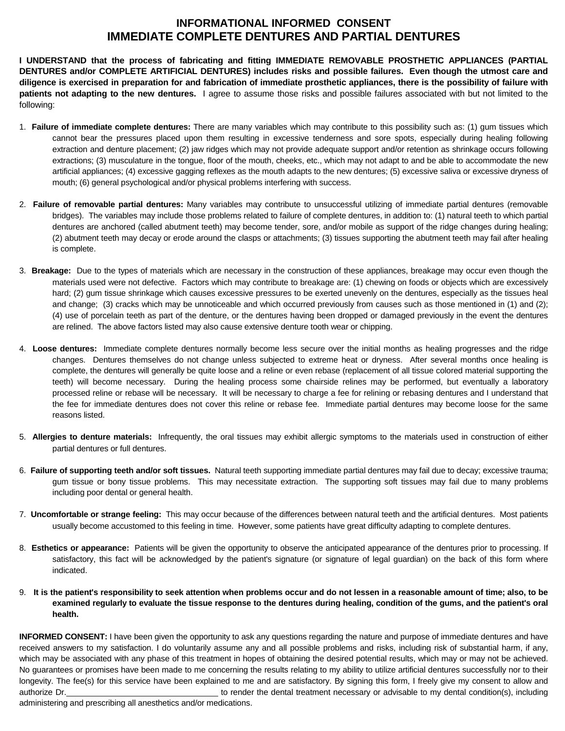## **INFORMATIONAL INFORMED CONSENT IMMEDIATE COMPLETE DENTURES AND PARTIAL DENTURES**

**I UNDERSTAND that the process of fabricating and fitting IMMEDIATE REMOVABLE PROSTHETIC APPLIANCES (PARTIAL DENTURES and/or COMPLETE ARTIFICIAL DENTURES) includes risks and possible failures. Even though the utmost care and diligence is exercised in preparation for and fabrication of immediate prosthetic appliances, there is the possibility of failure with patients not adapting to the new dentures.** I agree to assume those risks and possible failures associated with but not limited to the following:

- 1. **Failure of immediate complete dentures:** There are many variables which may contribute to this possibility such as: (1) gum tissues which cannot bear the pressures placed upon them resulting in excessive tenderness and sore spots, especially during healing following extraction and denture placement; (2) jaw ridges which may not provide adequate support and/or retention as shrinkage occurs following extractions; (3) musculature in the tongue, floor of the mouth, cheeks, etc., which may not adapt to and be able to accommodate the new artificial appliances; (4) excessive gagging reflexes as the mouth adapts to the new dentures; (5) excessive saliva or excessive dryness of mouth; (6) general psychological and/or physical problems interfering with success.
- 2. **Failure of removable partial dentures:** Many variables may contribute to unsuccessful utilizing of immediate partial dentures (removable bridges). The variables may include those problems related to failure of complete dentures, in addition to: (1) natural teeth to which partial dentures are anchored (called abutment teeth) may become tender, sore, and/or mobile as support of the ridge changes during healing; (2) abutment teeth may decay or erode around the clasps or attachments; (3) tissues supporting the abutment teeth may fail after healing is complete.
- 3. **Breakage:** Due to the types of materials which are necessary in the construction of these appliances, breakage may occur even though the materials used were not defective. Factors which may contribute to breakage are: (1) chewing on foods or objects which are excessively hard; (2) gum tissue shrinkage which causes excessive pressures to be exerted unevenly on the dentures, especially as the tissues heal and change; (3) cracks which may be unnoticeable and which occurred previously from causes such as those mentioned in (1) and (2); (4) use of porcelain teeth as part of the denture, or the dentures having been dropped or damaged previously in the event the dentures are relined. The above factors listed may also cause extensive denture tooth wear or chipping.
- 4. **Loose dentures:** Immediate complete dentures normally become less secure over the initial months as healing progresses and the ridge changes. Dentures themselves do not change unless subjected to extreme heat or dryness. After several months once healing is complete, the dentures will generally be quite loose and a reline or even rebase (replacement of all tissue colored material supporting the teeth) will become necessary. During the healing process some chairside relines may be performed, but eventually a laboratory processed reline or rebase will be necessary. It will be necessary to charge a fee for relining or rebasing dentures and I understand that the fee for immediate dentures does not cover this reline or rebase fee. Immediate partial dentures may become loose for the same reasons listed.
- 5. **Allergies to denture materials:** Infrequently, the oral tissues may exhibit allergic symptoms to the materials used in construction of either partial dentures or full dentures.
- 6. **Failure of supporting teeth and/or soft tissues.** Natural teeth supporting immediate partial dentures may fail due to decay; excessive trauma; gum tissue or bony tissue problems. This may necessitate extraction. The supporting soft tissues may fail due to many problems including poor dental or general health.
- 7. **Uncomfortable or strange feeling:** This may occur because of the differences between natural teeth and the artificial dentures. Most patients usually become accustomed to this feeling in time. However, some patients have great difficulty adapting to complete dentures.
- 8. **Esthetics or appearance:** Patients will be given the opportunity to observe the anticipated appearance of the dentures prior to processing. If satisfactory, this fact will be acknowledged by the patient's signature (or signature of legal guardian) on the back of this form where indicated.
- 9. **It is the patient's responsibility to seek attention when problems occur and do not lessen in a reasonable amount of time; also, to be examined regularly to evaluate the tissue response to the dentures during healing, condition of the gums, and the patient's oral health.**

**INFORMED CONSENT:** I have been given the opportunity to ask any questions regarding the nature and purpose of immediate dentures and have received answers to my satisfaction. I do voluntarily assume any and all possible problems and risks, including risk of substantial harm, if any, which may be associated with any phase of this treatment in hopes of obtaining the desired potential results, which may or may not be achieved. No guarantees or promises have been made to me concerning the results relating to my ability to utilize artificial dentures successfully nor to their longevity. The fee(s) for this service have been explained to me and are satisfactory. By signing this form, I freely give my consent to allow and authorize Dr. to render the dental treatment necessary or advisable to my dental condition(s), including administering and prescribing all anesthetics and/or medications.